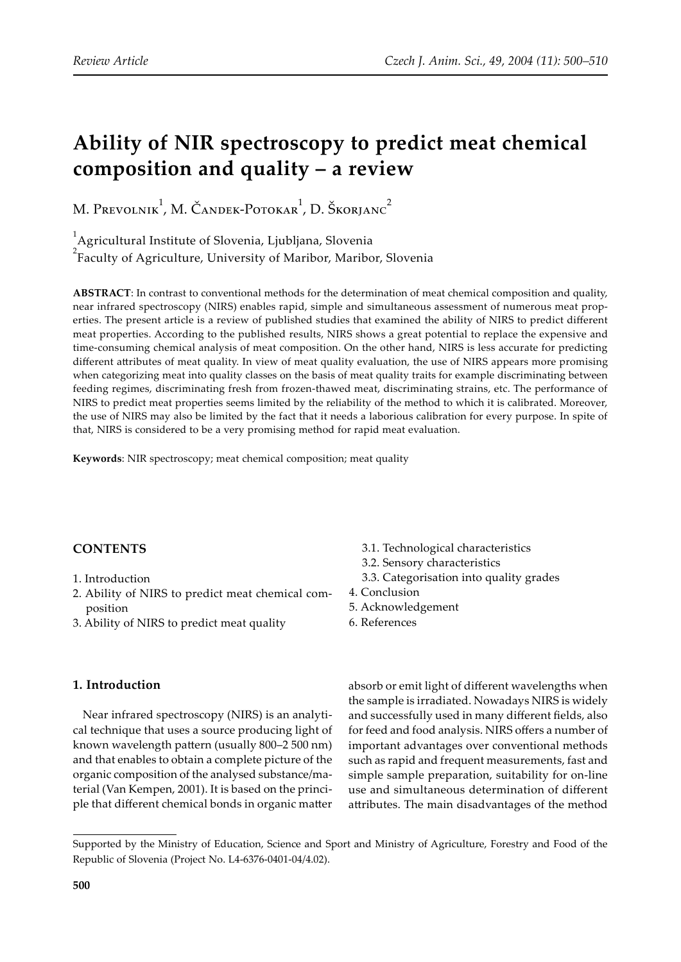# **Ability of NIR spectroscopy to predict meat chemical composition and quality – a review**

M. Prevolnik<sup>1</sup>, M. Čandek-Potokar<sup>1</sup>, D. Škorjanc<sup>2</sup>

<sup>1</sup> Agricultural Institute of Slovenia, Ljubljana, Slovenia

<sup>2</sup> Faculty of Agriculture, University of Maribor, Maribor, Slovenia

**ABSTRACT**: In contrast to conventional methods for the determination of meat chemical composition and quality, near infrared spectroscopy (NIRS) enables rapid, simple and simultaneous assessment of numerous meat properties. The present article is a review of published studies that examined the ability of NIRS to predict different meat properties. According to the published results, NIRS shows a great potential to replace the expensive and time-consuming chemical analysis of meat composition. On the other hand, NIRS is less accurate for predicting different attributes of meat quality. In view of meat quality evaluation, the use of NIRS appears more promising when categorizing meat into quality classes on the basis of meat quality traits for example discriminating between feeding regimes, discriminating fresh from frozen-thawed meat, discriminating strains, etc. The performance of NIRS to predict meat properties seems limited by the reliability of the method to which it is calibrated. Moreover, the use of NIRS may also be limited by the fact that it needs a laborious calibration for every purpose. In spite of that, NIRS is considered to be a very promising method for rapid meat evaluation.

**Keywords**: NIR spectroscopy; meat chemical composition; meat quality

# **CONTENTS**

- 1. Introduction
- 2. Ability of NIRS to predict meat chemical composition
- 3. Ability of NIRS to predict meat quality

# **1. Introduction**

Near infrared spectroscopy (NIRS) is an analytical technique that uses a source producing light of known wavelength pa�ern (usually 800–2 500 nm) and that enables to obtain a complete picture of the organic composition of the analysed substance/material (Van Kempen, 2001). It is based on the principle that different chemical bonds in organic matter

- 3.1. Technological characteristics
- 3.2. Sensory characteristics
- 3.3. Categorisation into quality grades
- 4. Conclusion
- 5. Acknowledgement
- 6. References

absorb or emit light of different wavelengths when the sample is irradiated. Nowadays NIRS is widely and successfully used in many different fields, also for feed and food analysis. NIRS offers a number of important advantages over conventional methods such as rapid and frequent measurements, fast and simple sample preparation, suitability for on-line use and simultaneous determination of different attributes. The main disadvantages of the method

Supported by the Ministry of Education, Science and Sport and Ministry of Agriculture, Forestry and Food of the Republic of Slovenia (Project No. L4-6376-0401-04/4.02).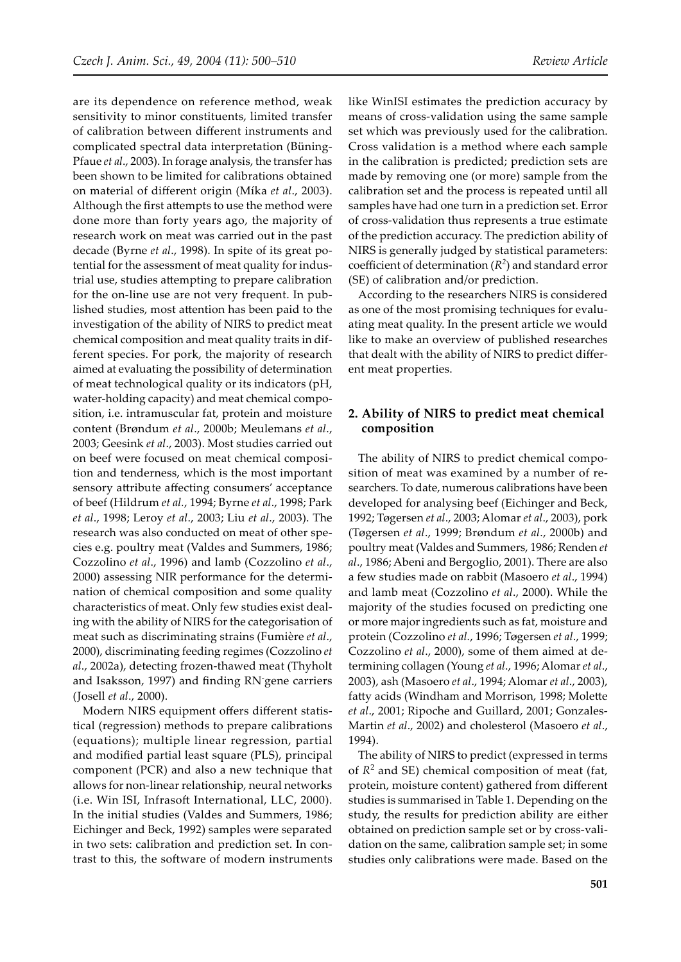are its dependence on reference method, weak sensitivity to minor constituents, limited transfer of calibration between different instruments and complicated spectral data interpretation (Büning-Pfaue *et al*., 2003). In forage analysis, the transfer has been shown to be limited for calibrations obtained on material of different origin (Míka *et al*., 2003). Although the first attempts to use the method were done more than forty years ago, the majority of research work on meat was carried out in the past decade (Byrne *et al*., 1998). In spite of its great potential for the assessment of meat quality for industrial use, studies attempting to prepare calibration for the on-line use are not very frequent. In published studies, most attention has been paid to the investigation of the ability of NIRS to predict meat chemical composition and meat quality traits in different species. For pork, the majority of research aimed at evaluating the possibility of determination of meat technological quality or its indicators (pH, water-holding capacity) and meat chemical composition, i.e. intramuscular fat, protein and moisture content (Brøndum *et al*., 2000b; Meulemans *et al*., 2003; Geesink *et al*., 2003). Most studies carried out on beef were focused on meat chemical composition and tenderness, which is the most important sensory attribute affecting consumers' acceptance of beef (Hildrum *et al.*, 1994; Byrne *et al*., 1998; Park *et al*., 1998; Leroy *et al*., 2003; Liu *et al*., 2003). The research was also conducted on meat of other species e.g. poultry meat (Valdes and Summers, 1986; Cozzolino *et al*., 1996) and lamb (Cozzolino *et al*., 2000) assessing NIR performance for the determination of chemical composition and some quality characteristics of meat. Only few studies exist dealing with the ability of NIRS for the categorisation of meat such as discriminating strains (Fumière *et al*., 2000), discriminating feeding regimes (Cozzolino *et al*., 2002a), detecting frozen-thawed meat (Thyholt and Isaksson, 1997) and finding RN-gene carriers (Josell *et al*., 2000).

Modern NIRS equipment offers different statistical (regression) methods to prepare calibrations (equations); multiple linear regression, partial and modified partial least square (PLS), principal component (PCR) and also a new technique that allows for non-linear relationship, neural networks (i.e. Win ISI, Infrasoft International, LLC, 2000). In the initial studies (Valdes and Summers, 1986; Eichinger and Beck, 1992) samples were separated in two sets: calibration and prediction set. In contrast to this, the software of modern instruments like WinISI estimates the prediction accuracy by means of cross-validation using the same sample set which was previously used for the calibration. Cross validation is a method where each sample in the calibration is predicted; prediction sets are made by removing one (or more) sample from the calibration set and the process is repeated until all samples have had one turn in a prediction set. Error of cross-validation thus represents a true estimate of the prediction accuracy. The prediction ability of NIRS is generally judged by statistical parameters: coefficient of determination  $(R^2)$  and standard error (SE) of calibration and/or prediction.

According to the researchers NIRS is considered as one of the most promising techniques for evaluating meat quality. In the present article we would like to make an overview of published researches that dealt with the ability of NIRS to predict different meat properties.

### **2. Ability of NIRS to predict meat chemical composition**

The ability of NIRS to predict chemical composition of meat was examined by a number of researchers. To date, numerous calibrations have been developed for analysing beef (Eichinger and Beck, 1992; Tøgersen *et al*., 2003; Alomar *et al*., 2003), pork (Tøgersen *et al*., 1999; Brøndum *et al*., 2000b) and poultry meat (Valdes and Summers, 1986; Renden *et al*., 1986; Abeni and Bergoglio, 2001). There are also a few studies made on rabbit (Masoero *et al*., 1994) and lamb meat (Cozzolino *et al*., 2000). While the majority of the studies focused on predicting one or more major ingredients such as fat, moisture and protein (Cozzolino *et al.*, 1996; Tøgersen *et al*., 1999; Cozzolino *et al*., 2000), some of them aimed at determining collagen (Young *et al*., 1996; Alomar *et al*., 2003), ash (Masoero *et al*., 1994; Alomar *et al*., 2003), fatty acids (Windham and Morrison, 1998; Molette *et al*., 2001; Ripoche and Guillard, 2001; Gonzales-Martin *et al*., 2002) and cholesterol (Masoero *et al*., 1994).

The ability of NIRS to predict (expressed in terms of  $R<sup>2</sup>$  and SE) chemical composition of meat (fat, protein, moisture content) gathered from different studies is summarised in Table 1. Depending on the study, the results for prediction ability are either obtained on prediction sample set or by cross-validation on the same, calibration sample set; in some studies only calibrations were made. Based on the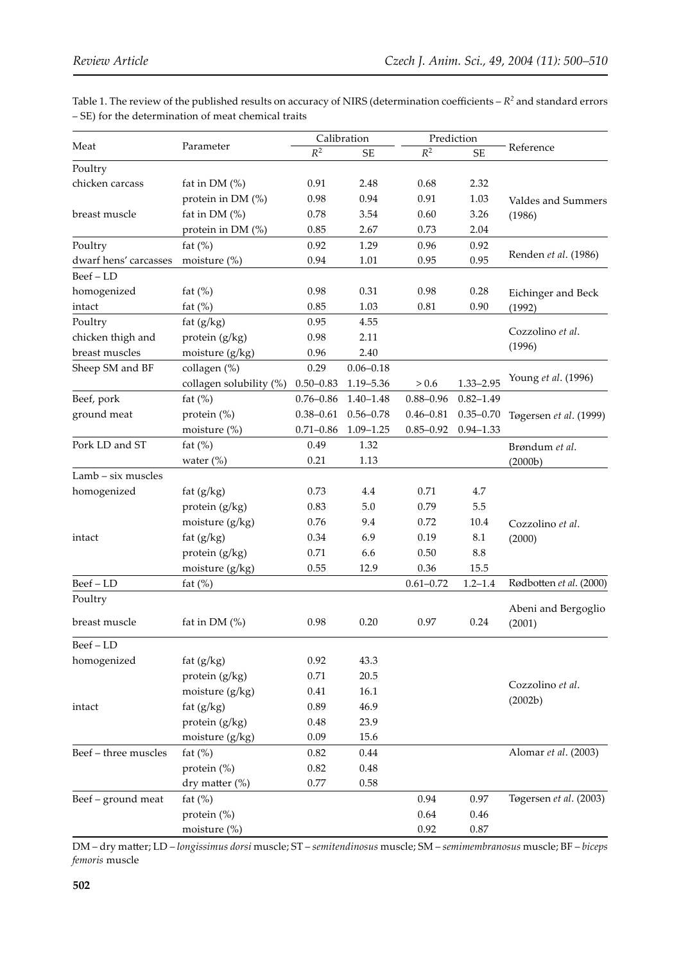Table 1. The review of the published results on accuracy of NIRS (determination coefficients  $-R^2$  and standard errors – SE) for the determination of meat chemical traits

|                       | Parameter               | Calibration   |               | Prediction    |               |                         |
|-----------------------|-------------------------|---------------|---------------|---------------|---------------|-------------------------|
| Meat                  |                         | $R^2$         | <b>SE</b>     | $R^2$         | SE            | Reference               |
| Poultry               |                         |               |               |               |               |                         |
| chicken carcass       | fat in DM (%)           | 0.91          | 2.48          | 0.68          | 2.32          |                         |
|                       | protein in DM (%)       | 0.98          | 0.94          | 0.91          | 1.03          | Valdes and Summers      |
| breast muscle         | fat in DM $(%)$         | 0.78          | 3.54          | 0.60          | 3.26          | (1986)                  |
|                       | protein in DM (%)       | 0.85          | 2.67          | 0.73          | 2.04          |                         |
| Poultry               | fat $(\%)$              | 0.92          | 1.29          | 0.96          | 0.92          |                         |
| dwarf hens' carcasses | moisture $(\%)$         | 0.94          | 1.01          | 0.95          | 0.95          | Renden et al. (1986)    |
| Beef-LD               |                         |               |               |               |               |                         |
| homogenized           | fat $(\%)$              | 0.98          | 0.31          | 0.98          | 0.28          | Eichinger and Beck      |
| intact                | fat $(\%)$              | 0.85          | 1.03          | 0.81          | 0.90          | (1992)                  |
| Poultry               | fat $(g/kg)$            | 0.95          | 4.55          |               |               |                         |
| chicken thigh and     | protein (g/kg)          | 0.98          | 2.11          |               |               | Cozzolino et al.        |
| breast muscles        | moisture (g/kg)         | 0.96          | 2.40          |               |               | (1996)                  |
| Sheep SM and BF       | collagen (%)            | 0.29          | $0.06 - 0.18$ |               |               |                         |
|                       | collagen solubility (%) | $0.50 - 0.83$ | 1.19-5.36     | $> 0.6$       | $1.33 - 2.95$ | Young et al. (1996)     |
| Beef, pork            | fat $(\%)$              | $0.76 - 0.86$ | $1.40 - 1.48$ | $0.88 - 0.96$ | $0.82 - 1.49$ |                         |
| ground meat           | protein (%)             | $0.38 - 0.61$ | $0.56 - 0.78$ | $0.46 - 0.81$ | $0.35 - 0.70$ | Tøgersen et al. (1999)  |
|                       | moisture (%)            | $0.71 - 0.86$ | $1.09 - 1.25$ | $0.85 - 0.92$ | $0.94 - 1.33$ |                         |
| Pork LD and ST        | fat $(\%)$              | 0.49          | 1.32          |               |               | Brøndum et al.          |
|                       | water $(\%)$            | 0.21          | 1.13          |               |               | (2000b)                 |
| Lamb - six muscles    |                         |               |               |               |               |                         |
| homogenized           | fat $(g/kg)$            | 0.73          | $4.4\,$       | 0.71          | 4.7           |                         |
|                       | protein (g/kg)          | 0.83          | 5.0           | 0.79          | 5.5           |                         |
|                       | moisture (g/kg)         | 0.76          | 9.4           | 0.72          | 10.4          | Cozzolino et al.        |
| intact                | fat $(g/kg)$            | 0.34          | 6.9           | 0.19          | 8.1           | (2000)                  |
|                       | protein (g/kg)          | 0.71          | 6.6           | 0.50          | 8.8           |                         |
|                       | moisture (g/kg)         | 0.55          | 12.9          | 0.36          | 15.5          |                         |
| Beef-LD               | fat $(\%)$              |               |               | $0.61 - 0.72$ | $1.2 - 1.4$   | Rødbotten et al. (2000) |
| Poultry               |                         |               |               |               |               |                         |
|                       |                         |               |               |               |               | Abeni and Bergoglio     |
| breast muscle         | fat in DM $(%)$         | 0.98          | 0.20          | 0.97          | 0.24          | (2001)                  |
| $Beef - LD$           |                         |               |               |               |               |                         |
| homogenized           | fat $(g/kg)$            | 0.92          | 43.3          |               |               |                         |
|                       | protein (g/kg)          | 0.71          | 20.5          |               |               |                         |
|                       | moisture $(g/kg)$       | 0.41          | 16.1          |               |               | Cozzolino et al.        |
| intact                | fat $(g/kg)$            | 0.89          | 46.9          |               |               | (2002b)                 |
|                       | protein (g/kg)          | $0.48\,$      | 23.9          |               |               |                         |
|                       | moisture (g/kg)         | 0.09          | 15.6          |               |               |                         |
| Beef - three muscles  | fat $(\%)$              | 0.82          | 0.44          |               |               | Alomar et al. (2003)    |
|                       | protein $(\%)$          | 0.82          | 0.48          |               |               |                         |
|                       | dry matter (%)          | 0.77          | $0.58\,$      |               |               |                         |
| Beef - ground meat    | fat $(\%)$              |               |               | 0.94          | 0.97          | Tøgersen et al. (2003)  |
|                       | protein (%)             |               |               | 0.64          | 0.46          |                         |
|                       | moisture (%)            |               |               | 0.92          | $0.87\,$      |                         |
|                       |                         |               |               |               |               |                         |

DM – dry ma�er; LD – *longissimus dorsi* muscle; ST – *semitendinosus* muscle; SM – *semimembranosus* muscle; BF – *biceps femoris* muscle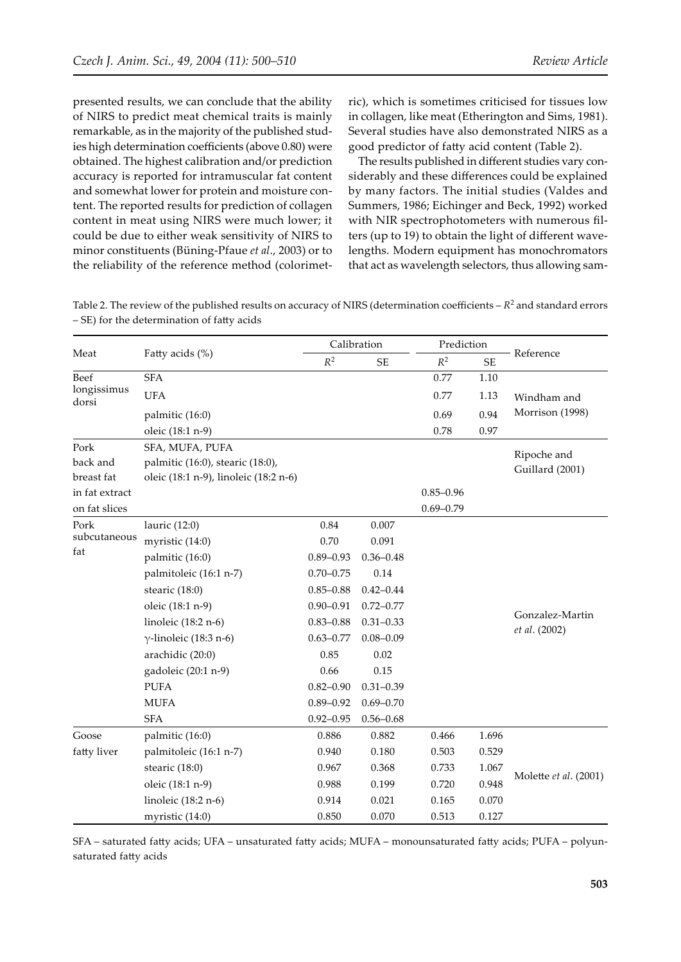presented results, we can conclude that the ability of NIRS to predict meat chemical traits is mainly remarkable, as in the majority of the published studies high determination coefficients (above 0.80) were obtained. The highest calibration and/or prediction accuracy is reported for intramuscular fat content and somewhat lower for protein and moisture content. The reported results for prediction of collagen content in meat using NIRS were much lower; it could be due to either weak sensitivity of NIRS to minor constituents (Büning-Pfaue *et al*., 2003) or to the reliability of the reference method (colorimetric), which is sometimes criticised for tissues low in collagen, like meat (Etherington and Sims, 1981). Several studies have also demonstrated NIRS as a good predictor of fa�y acid content (Table 2).

The results published in different studies vary considerably and these differences could be explained by many factors. The initial studies (Valdes and Summers, 1986; Eichinger and Beck, 1992) worked with NIR spectrophotometers with numerous filters (up to 19) to obtain the light of different wavelengths. Modern equipment has monochromators that act as wavelength selectors, thus allowing sam-

Table 2. The review of the published results on accuracy of NIRS (determination coefficients  $-R^2$  and standard errors – SE) for the determination of fatty acids

|                      |                                       | Calibration   |                            | Prediction    |           |                                  |  |
|----------------------|---------------------------------------|---------------|----------------------------|---------------|-----------|----------------------------------|--|
| Meat                 | Fatty acids (%)                       | $R^2$         | $\ensuremath{\mathsf{SE}}$ | $R^2$         | <b>SE</b> | Reference                        |  |
| <b>Beef</b>          | <b>SFA</b>                            |               |                            | 0.77          | $1.10\,$  |                                  |  |
| longissimus<br>dorsi | <b>UFA</b>                            |               |                            | 0.77          | 1.13      | Windham and                      |  |
|                      | palmitic (16:0)                       |               |                            | 0.69          | 0.94      | Morrison (1998)                  |  |
|                      | oleic (18:1 n-9)                      |               |                            | 0.78          | 0.97      |                                  |  |
| Pork                 | SFA, MUFA, PUFA                       |               |                            |               |           | Ripoche and                      |  |
| back and             | palmitic (16:0), stearic (18:0),      |               |                            |               |           | Guillard (2001)                  |  |
| breast fat           | oleic (18:1 n-9), linoleic (18:2 n-6) |               |                            |               |           |                                  |  |
| in fat extract       |                                       |               |                            | $0.85 - 0.96$ |           |                                  |  |
| on fat slices        |                                       |               |                            | $0.69 - 0.79$ |           |                                  |  |
| Pork                 | lauric (12:0)                         | 0.84          | 0.007                      |               |           |                                  |  |
| subcutaneous         | myristic (14:0)                       | 0.70          | 0.091                      |               |           |                                  |  |
| fat                  | palmitic (16:0)                       | $0.89 - 0.93$ | $0.36 - 0.48$              |               |           |                                  |  |
|                      | palmitoleic (16:1 n-7)                | $0.70 - 0.75$ | 0.14                       |               |           |                                  |  |
|                      | stearic (18:0)                        | $0.85 - 0.88$ | $0.42 - 0.44$              |               |           |                                  |  |
|                      | oleic (18:1 n-9)                      | $0.90 - 0.91$ | $0.72 - 0.77$              |               |           |                                  |  |
|                      | linoleic (18:2 n-6)                   | $0.83 - 0.88$ | $0.31 - 0.33$              |               |           | Gonzalez-Martin<br>et al. (2002) |  |
|                      | $\gamma$ -linoleic (18:3 n-6)         | $0.63 - 0.77$ | $0.08 - 0.09$              |               |           |                                  |  |
|                      | arachidic (20:0)                      | 0.85          | 0.02                       |               |           |                                  |  |
|                      | gadoleic (20:1 n-9)                   | 0.66          | 0.15                       |               |           |                                  |  |
|                      | <b>PUFA</b>                           | $0.82 - 0.90$ | $0.31 - 0.39$              |               |           |                                  |  |
|                      | <b>MUFA</b>                           | $0.89 - 0.92$ | $0.69 - 0.70$              |               |           |                                  |  |
|                      | <b>SFA</b>                            | $0.92 - 0.95$ | $0.56 - 0.68$              |               |           |                                  |  |
| Goose                | palmitic (16:0)                       | 0.886         | 0.882                      | 0.466         | 1.696     |                                  |  |
| fatty liver          | palmitoleic (16:1 n-7)                | 0.940         | 0.180                      | 0.503         | 0.529     | Molette et al. (2001)            |  |
|                      | stearic (18:0)                        | 0.967         | 0.368                      | 0.733         | 1.067     |                                  |  |
|                      | oleic (18:1 n-9)                      | 0.988         | 0.199                      | 0.720         | 0.948     |                                  |  |
|                      | linoleic (18:2 n-6)                   | 0.914         | 0.021                      | 0.165         | 0.070     |                                  |  |
|                      | myristic (14:0)                       | 0.850         | 0.070                      | 0.513         | 0.127     |                                  |  |

SFA – saturated fatty acids; UFA – unsaturated fatty acids; MUFA – monounsaturated fatty acids; PUFA – polyunsaturated fatty acids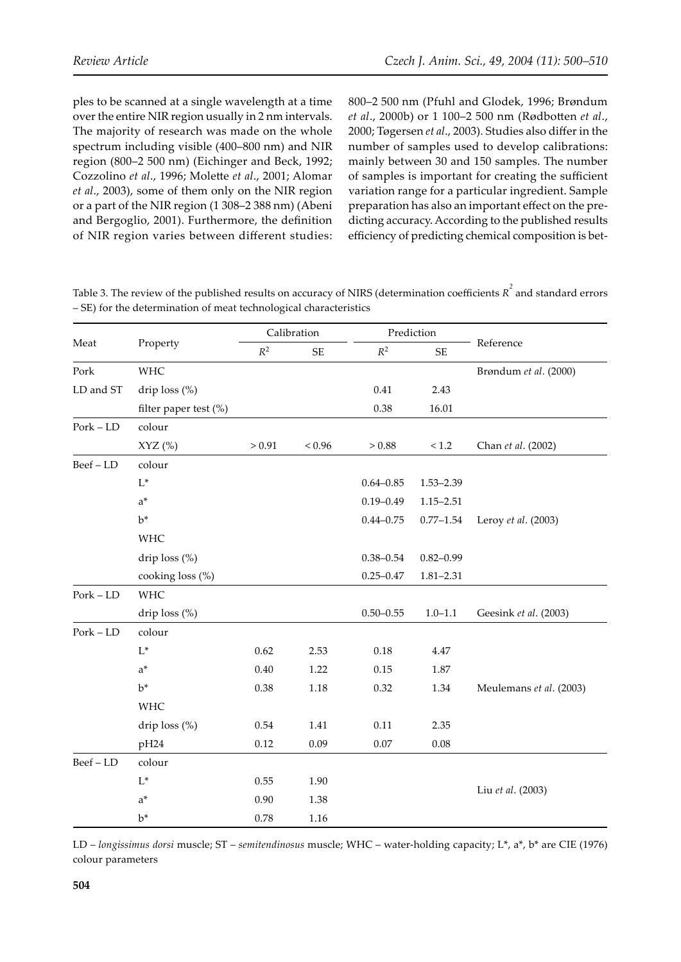ples to be scanned at a single wavelength at a time over the entire NIR region usually in 2 nm intervals. The majority of research was made on the whole spectrum including visible (400–800 nm) and NIR region (800–2 500 nm) (Eichinger and Beck, 1992; Cozzolino *et al.*, 1996; Molette *et al.*, 2001; Alomar *et al*., 2003), some of them only on the NIR region or a part of the NIR region (1 308–2 388 nm) (Abeni and Bergoglio, 2001). Furthermore, the definition of NIR region varies between different studies: 800–2 500 nm (Pfuhl and Glodek, 1996; Brøndum *et al*., 2000b) or 1 100–2 500 nm (Rødbo�en *et al*., 2000; Tøgersen *et al*., 2003). Studies also differ in the number of samples used to develop calibrations: mainly between 30 and 150 samples. The number of samples is important for creating the sufficient variation range for a particular ingredient. Sample preparation has also an important effect on the predicting accuracy. According to the published results efficiency of predicting chemical composition is bet-

Table 3. The review of the published results on accuracy of NIRS (determination coefficients  $R^2$  and standard errors – SE) for the determination of meat technological characteristics

| Meat          | Property              | Calibration    |               | Prediction    |               |                         |  |
|---------------|-----------------------|----------------|---------------|---------------|---------------|-------------------------|--|
|               |                       | $\mathbb{R}^2$ | <b>SE</b>     | $R^2$         | <b>SE</b>     | Reference               |  |
| Pork          | <b>WHC</b>            |                |               |               |               | Brøndum et al. (2000)   |  |
| LD and ST     | drip loss (%)         |                |               | 0.41          | 2.43          |                         |  |
|               | filter paper test (%) |                |               | 0.38          | 16.01         |                         |  |
| $Port$ – $LD$ | colour                |                |               |               |               |                         |  |
|               | $XYZ$ (%)             | > 0.91         | ${}_{< 0.96}$ | > 0.88        | $<1.2\,$      | Chan et al. (2002)      |  |
| Beef-LD       | colour                |                |               |               |               |                         |  |
|               | $L^*$                 |                |               | $0.64 - 0.85$ | $1.53 - 2.39$ |                         |  |
|               | $a^*$                 |                |               | $0.19 - 0.49$ | $1.15 - 2.51$ |                         |  |
|               | $b^*$                 |                |               | $0.44 - 0.75$ | $0.77 - 1.54$ | Leroy et al. (2003)     |  |
|               | WHC                   |                |               |               |               |                         |  |
|               | drip loss (%)         |                |               | $0.38 - 0.54$ | $0.82 - 0.99$ |                         |  |
|               | cooking loss (%)      |                |               | $0.25 - 0.47$ | $1.81 - 2.31$ |                         |  |
| $Port - LD$   | <b>WHC</b>            |                |               |               |               |                         |  |
|               | drip loss (%)         |                |               | $0.50 - 0.55$ | $1.0 - 1.1$   | Geesink et al. (2003)   |  |
| $Port - LD$   | colour                |                |               |               |               |                         |  |
|               | $\mathsf{L}^*$        | 0.62           | 2.53          | 0.18          | $4.47\,$      |                         |  |
|               | $a^*$                 | 0.40           | 1.22          | 0.15          | 1.87          |                         |  |
|               | $b^*$                 | 0.38           | 1.18          | 0.32          | 1.34          | Meulemans et al. (2003) |  |
|               | <b>WHC</b>            |                |               |               |               |                         |  |
|               | drip loss (%)         | 0.54           | 1.41          | 0.11          | 2.35          |                         |  |
|               | pH24                  | 0.12           | 0.09          | 0.07          | 0.08          |                         |  |
| $Beef - LD$   | colour                |                |               |               |               |                         |  |
|               | $L^*$                 | 0.55           | 1.90          |               |               |                         |  |
|               | $a^*$                 | 0.90           | 1.38          |               |               | Liu et al. (2003)       |  |
|               | $b^*$                 | 0.78           | 1.16          |               |               |                         |  |

LD – *longissimus dorsi* muscle; ST – *semitendinosus* muscle; WHC – water-holding capacity; L\*, a\*, b\* are CIE (1976) colour parameters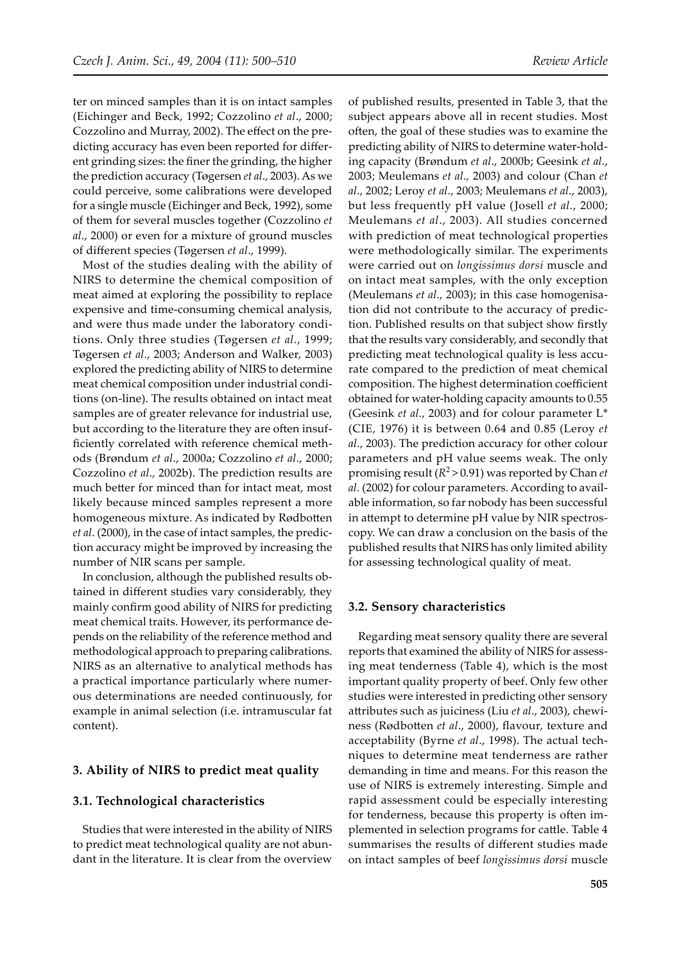ter on minced samples than it is on intact samples (Eichinger and Beck, 1992; Cozzolino *et al*., 2000; Cozzolino and Murray, 2002). The effect on the predicting accuracy has even been reported for different grinding sizes: the finer the grinding, the higher the prediction accuracy (Tøgersen *et al*., 2003). As we could perceive, some calibrations were developed for a single muscle (Eichinger and Beck, 1992), some of them for several muscles together (Cozzolino *et al*., 2000) or even for a mixture of ground muscles of different species (Tøgersen *et al*., 1999).

Most of the studies dealing with the ability of NIRS to determine the chemical composition of meat aimed at exploring the possibility to replace expensive and time-consuming chemical analysis, and were thus made under the laboratory conditions. Only three studies (Tøgersen *et al*., 1999; Tøgersen *et al*., 2003; Anderson and Walker, 2003) explored the predicting ability of NIRS to determine meat chemical composition under industrial conditions (on-line). The results obtained on intact meat samples are of greater relevance for industrial use, but according to the literature they are often insufficiently correlated with reference chemical methods (Brøndum *et al*., 2000a; Cozzolino *et al*., 2000; Cozzolino *et al*., 2002b). The prediction results are much better for minced than for intact meat, most likely because minced samples represent a more homogeneous mixture. As indicated by Rødbotten *et al*. (2000), in the case of intact samples, the prediction accuracy might be improved by increasing the number of NIR scans per sample.

In conclusion, although the published results obtained in different studies vary considerably, they mainly confirm good ability of NIRS for predicting meat chemical traits. However, its performance depends on the reliability of the reference method and methodological approach to preparing calibrations. NIRS as an alternative to analytical methods has a practical importance particularly where numerous determinations are needed continuously, for example in animal selection (i.e. intramuscular fat content).

#### **3. Ability of NIRS to predict meat quality**

#### **3.1. Technological characteristics**

Studies that were interested in the ability of NIRS to predict meat technological quality are not abundant in the literature. It is clear from the overview

of published results, presented in Table 3, that the subject appears above all in recent studies. Most often, the goal of these studies was to examine the predicting ability of NIRS to determine water-holding capacity (Brøndum *et al*., 2000b; Geesink *et al*., 2003; Meulemans *et al*.*,* 2003) and colour (Chan *et al*., 2002; Leroy *et al*., 2003; Meulemans *et al*., 2003), but less frequently pH value (Josell *et al.*, 2000; Meulemans *et al*., 2003). All studies concerned with prediction of meat technological properties were methodologically similar. The experiments were carried out on *longissimus dorsi* muscle and on intact meat samples, with the only exception (Meulemans *et al*., 2003); in this case homogenisation did not contribute to the accuracy of prediction. Published results on that subject show firstly that the results vary considerably, and secondly that predicting meat technological quality is less accurate compared to the prediction of meat chemical composition. The highest determination coefficient obtained for water-holding capacity amounts to 0.55 (Geesink *et al*., 2003) and for colour parameter L\* (CIE, 1976) it is between 0.64 and 0.85 (Leroy *et al*., 2003). The prediction accuracy for other colour parameters and pH value seems weak. The only promising result ( $R^2$  > 0.91) was reported by Chan *et al.* (2002) for colour parameters. According to available information, so far nobody has been successful in attempt to determine pH value by NIR spectroscopy. We can draw a conclusion on the basis of the published results that NIRS has only limited ability for assessing technological quality of meat.

#### **3.2. Sensory characteristics**

Regarding meat sensory quality there are several reports that examined the ability of NIRS for assessing meat tenderness (Table 4), which is the most important quality property of beef. Only few other studies were interested in predicting other sensory a�ributes such as juiciness (Liu *et al*., 2003), chewiness (Rødbo�en *et al*., 2000), flavour, texture and acceptability (Byrne *et al*., 1998). The actual techniques to determine meat tenderness are rather demanding in time and means. For this reason the use of NIRS is extremely interesting. Simple and rapid assessment could be especially interesting for tenderness, because this property is often implemented in selection programs for cattle. Table 4 summarises the results of different studies made on intact samples of beef *longissimus dorsi* muscle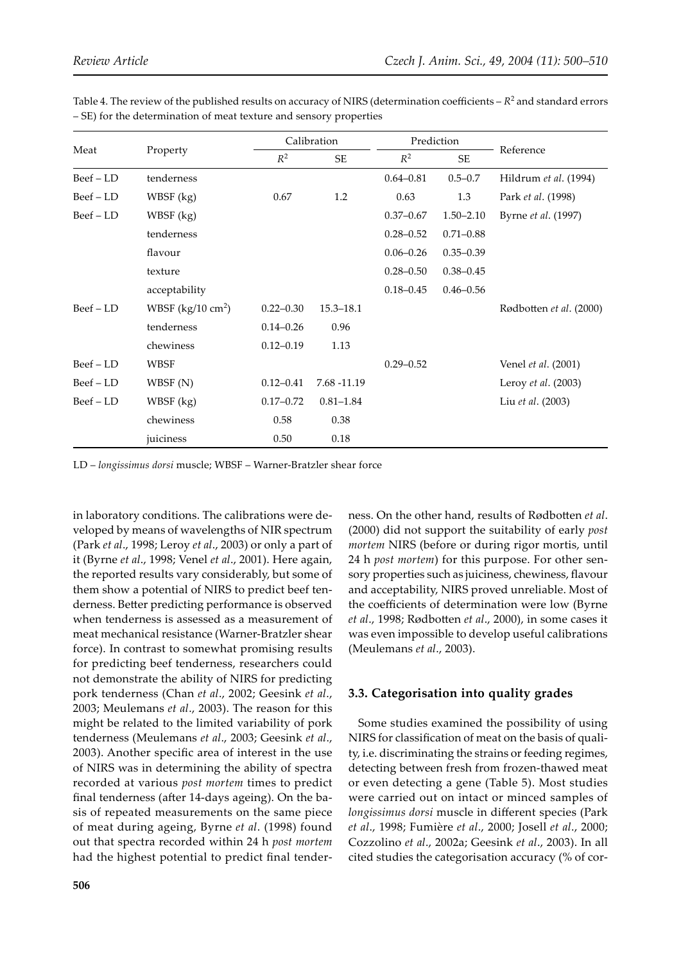| Meat          | Property                    |               | Calibration   |               | Prediction    |                            |
|---------------|-----------------------------|---------------|---------------|---------------|---------------|----------------------------|
|               |                             | $R^2$         | <b>SE</b>     | $R^2$         | <b>SE</b>     | Reference                  |
| Beef - LD     | tenderness                  |               |               | $0.64 - 0.81$ | $0.5 - 0.7$   | Hildrum et al. (1994)      |
| Beef - LD     | WBSF (kg)                   | 0.67          | 1.2           | 0.63          | 1.3           | Park et al. (1998)         |
| $Beef - LD$   | $WBSF$ (kg)                 |               |               | $0.37 - 0.67$ | $1.50 - 2.10$ | Byrne et al. (1997)        |
|               | tenderness                  |               |               | $0.28 - 0.52$ | $0.71 - 0.88$ |                            |
|               | flavour                     |               |               | $0.06 - 0.26$ | $0.35 - 0.39$ |                            |
|               | texture                     |               |               | $0.28 - 0.50$ | $0.38 - 0.45$ |                            |
|               | acceptability               |               |               | $0.18 - 0.45$ | $0.46 - 0.56$ |                            |
| $Beef$ – $LD$ | WBSF $(kg/10 \text{ cm}^2)$ | $0.22 - 0.30$ | $15.3 - 18.1$ |               |               | Rødbotten et al. (2000)    |
|               | tenderness                  | $0.14 - 0.26$ | 0.96          |               |               |                            |
|               | chewiness                   | $0.12 - 0.19$ | 1.13          |               |               |                            |
| Beef - LD     | <b>WBSF</b>                 |               |               | $0.29 - 0.52$ |               | Venel <i>et al.</i> (2001) |
| Beef – LD     | WBSF(N)                     | $0.12 - 0.41$ | 7.68 -11.19   |               |               | Leroy et al. (2003)        |
| Beef – LD     | $WBSF$ (kg)                 | $0.17 - 0.72$ | $0.81 - 1.84$ |               |               | Liu et al. (2003)          |
|               | chewiness                   | 0.58          | 0.38          |               |               |                            |
|               | juiciness                   | 0.50          | 0.18          |               |               |                            |

Table 4. The review of the published results on accuracy of NIRS (determination coefficients –  $R^2$  and standard errors – SE) for the determination of meat texture and sensory properties

LD – *longissimus dorsi* muscle; WBSF – Warner-Bratzler shear force

in laboratory conditions. The calibrations were developed by means of wavelengths of NIR spectrum (Park *et al*., 1998; Leroy *et al*., 2003) or only a part of it (Byrne *et al*., 1998; Venel *et al*., 2001). Here again, the reported results vary considerably, but some of them show a potential of NIRS to predict beef tenderness. Better predicting performance is observed when tenderness is assessed as a measurement of meat mechanical resistance (Warner-Bratzler shear force). In contrast to somewhat promising results for predicting beef tenderness, researchers could not demonstrate the ability of NIRS for predicting pork tenderness (Chan *et al*., 2002; Geesink *et al*., 2003; Meulemans *et al*., 2003). The reason for this might be related to the limited variability of pork tenderness (Meulemans *et al*., 2003; Geesink *et al*., 2003). Another specific area of interest in the use of NIRS was in determining the ability of spectra recorded at various *post mortem* times to predict final tenderness (after 14-days ageing). On the basis of repeated measurements on the same piece of meat during ageing, Byrne *et al*. (1998) found out that spectra recorded within 24 h *post mortem* had the highest potential to predict final tenderness. On the other hand, results of Rødbotten et al. (2000) did not support the suitability of early *post mortem* NIRS (before or during rigor mortis, until 24 h *post mortem*) for this purpose. For other sensory properties such as juiciness, chewiness, flavour and acceptability, NIRS proved unreliable. Most of the coefficients of determination were low (Byrne *et al*., 1998; Rødbo�en *et al*., 2000), in some cases it was even impossible to develop useful calibrations (Meulemans *et al*., 2003).

## **3.3. Categorisation into quality grades**

Some studies examined the possibility of using NIRS for classification of meat on the basis of quality, i.e. discriminating the strains or feeding regimes, detecting between fresh from frozen-thawed meat or even detecting a gene (Table 5). Most studies were carried out on intact or minced samples of *longissimus dorsi* muscle in different species (Park *et al*., 1998; Fumière *et al*., 2000; Josell *et al*., 2000; Cozzolino *et al*., 2002a; Geesink *et al*., 2003). In all cited studies the categorisation accuracy (% of cor-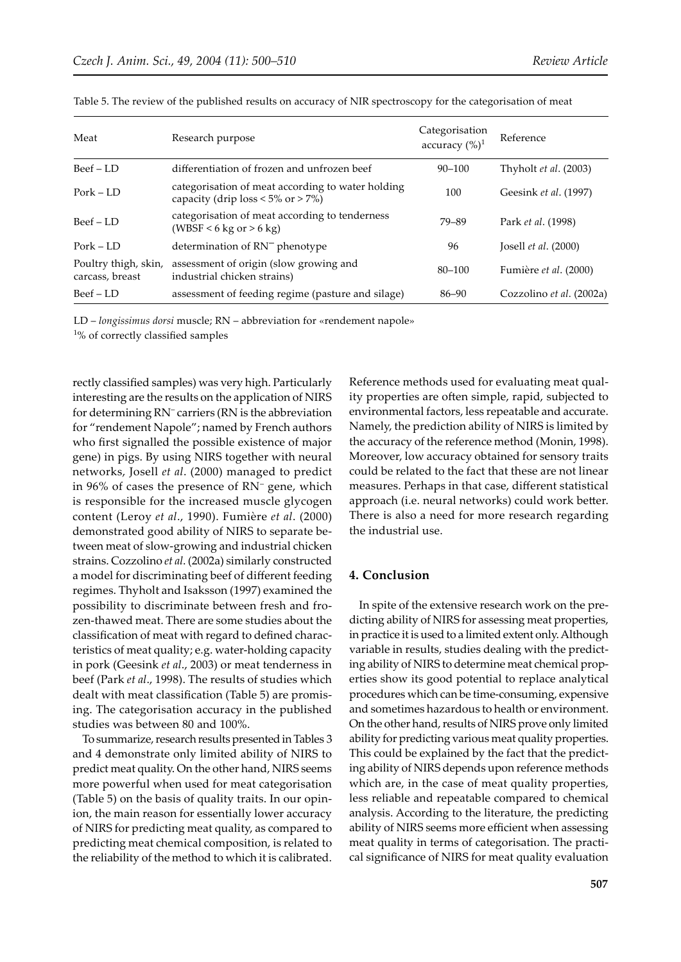| Meat                                    | Research purpose                                                                              | Categorisation<br>accuracy $(\%)^1$ | Reference                    |
|-----------------------------------------|-----------------------------------------------------------------------------------------------|-------------------------------------|------------------------------|
| $Beef - LD$                             | differentiation of frozen and unfrozen beef                                                   | $90 - 100$                          | Thyholt <i>et al.</i> (2003) |
| $Port - LD$                             | categorisation of meat according to water holding<br>capacity (drip $loss < 5\%$ or $> 7\%$ ) | 100                                 | Geesink et al. (1997)        |
| $Beef - LD$                             | categorisation of meat according to tenderness<br>$(WBSF < 6 \text{ kg or } > 6 \text{ kg})$  | 79-89                               | Park et al. (1998)           |
| $Port - LD$                             | determination of RN <sup>-</sup> phenotype                                                    | 96                                  | [ $osell et al. (2000)$ ]    |
| Poultry thigh, skin,<br>carcass, breast | assessment of origin (slow growing and<br>industrial chicken strains)                         | $80 - 100$                          | Fumière et al. (2000)        |
| $Beef - LD$                             | assessment of feeding regime (pasture and silage)                                             | 86–90                               | Cozzolino et al. (2002a)     |

Table 5. The review of the published results on accuracy of NIR spectroscopy for the categorisation of meat

LD – *longissimus dorsi* muscle; RN – abbreviation for «rendement napole»

<sup>1</sup>% of correctly classified samples

rectly classified samples) was very high. Particularly interesting are the results on the application of NIRS for determining RN<sup>-</sup> carriers (RN is the abbreviation for "rendement Napole"; named by French authors who first signalled the possible existence of major gene) in pigs. By using NIRS together with neural networks, Josell *et al*. (2000) managed to predict in 96% of cases the presence of RN– gene, which is responsible for the increased muscle glycogen content (Leroy *et al*., 1990). Fumière *et al*. (2000) demonstrated good ability of NIRS to separate between meat of slow-growing and industrial chicken strains. Cozzolino *et al*. (2002a) similarly constructed a model for discriminating beef of different feeding regimes. Thyholt and Isaksson (1997) examined the possibility to discriminate between fresh and frozen-thawed meat. There are some studies about the classification of meat with regard to defined characteristics of meat quality; e.g. water-holding capacity in pork (Geesink *et al*., 2003) or meat tenderness in beef (Park *et al*., 1998). The results of studies which dealt with meat classification (Table 5) are promising. The categorisation accuracy in the published studies was between 80 and 100%.

To summarize, research results presented in Tables 3 and 4 demonstrate only limited ability of NIRS to predict meat quality. On the other hand, NIRS seems more powerful when used for meat categorisation (Table 5) on the basis of quality traits. In our opinion, the main reason for essentially lower accuracy of NIRS for predicting meat quality, as compared to predicting meat chemical composition, is related to the reliability of the method to which it is calibrated. Reference methods used for evaluating meat quality properties are often simple, rapid, subjected to environmental factors, less repeatable and accurate. Namely, the prediction ability of NIRS is limited by the accuracy of the reference method (Monin, 1998). Moreover, low accuracy obtained for sensory traits could be related to the fact that these are not linear measures. Perhaps in that case, different statistical approach (i.e. neural networks) could work better. There is also a need for more research regarding the industrial use.

#### **4. Conclusion**

In spite of the extensive research work on the predicting ability of NIRS for assessing meat properties, in practice it is used to a limited extent only. Although variable in results, studies dealing with the predicting ability of NIRS to determine meat chemical properties show its good potential to replace analytical procedures which can be time-consuming, expensive and sometimes hazardous to health or environment. On the other hand, results of NIRS prove only limited ability for predicting various meat quality properties. This could be explained by the fact that the predicting ability of NIRS depends upon reference methods which are, in the case of meat quality properties, less reliable and repeatable compared to chemical analysis. According to the literature, the predicting ability of NIRS seems more efficient when assessing meat quality in terms of categorisation. The practical significance of NIRS for meat quality evaluation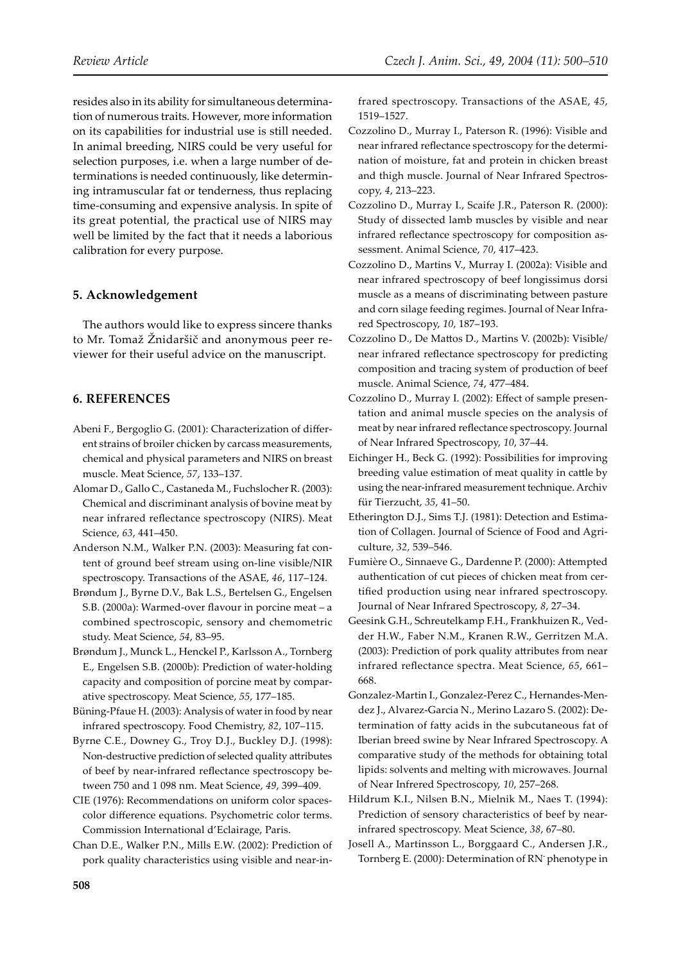resides also in its ability for simultaneous determination of numerous traits. However, more information on its capabilities for industrial use is still needed. In animal breeding, NIRS could be very useful for selection purposes, i.e. when a large number of determinations is needed continuously, like determining intramuscular fat or tenderness, thus replacing time-consuming and expensive analysis. In spite of its great potential, the practical use of NIRS may well be limited by the fact that it needs a laborious calibration for every purpose.

# **5. Acknowledgement**

The authors would like to express sincere thanks to Mr. Tomaž Žnidaršič and anonymous peer reviewer for their useful advice on the manuscript.

# **6. REFERENCES**

- Abeni F., Bergoglio G. (2001): Characterization of different strains of broiler chicken by carcass measurements, chemical and physical parameters and NIRS on breast muscle. Meat Science, *57*, 133–137.
- Alomar D., Gallo C., Castaneda M., Fuchslocher R. (2003): Chemical and discriminant analysis of bovine meat by near infrared reflectance spectroscopy (NIRS). Meat Science, *63*, 441–450.
- Anderson N.M., Walker P.N. (2003): Measuring fat content of ground beef stream using on-line visible/NIR spectroscopy. Transactions of the ASAE, *46*, 117–124.
- Brøndum J., Byrne D.V., Bak L.S., Bertelsen G., Engelsen S.B. (2000a): Warmed-over flavour in porcine meat – a combined spectroscopic, sensory and chemometric study. Meat Science, *54*, 83–95.
- Brøndum J., Munck L., Henckel P., Karlsson A., Tornberg E., Engelsen S.B. (2000b): Prediction of water-holding capacity and composition of porcine meat by comparative spectroscopy. Meat Science, *55*, 177–185.
- Büning-Pfaue H. (2003): Analysis of water in food by near infrared spectroscopy. Food Chemistry, *82*, 107–115.
- Byrne C.E., Downey G., Troy D.J., Buckley D.J. (1998): Non-destructive prediction of selected quality a�ributes of beef by near-infrared reflectance spectroscopy between 750 and 1 098 nm. Meat Science, *49*, 399–409.
- CIE (1976): Recommendations on uniform color spacescolor difference equations. Psychometric color terms. Commission International d'Eclairage, Paris.

Chan D.E., Walker P.N., Mills E.W. (2002): Prediction of pork quality characteristics using visible and near-infrared spectroscopy. Transactions of the ASAE, *45*, 1519–1527.

- Cozzolino D., Murray I., Paterson R. (1996): Visible and near infrared reflectance spectroscopy for the determination of moisture, fat and protein in chicken breast and thigh muscle. Journal of Near Infrared Spectroscopy, *4*, 213–223.
- Cozzolino D., Murray I., Scaife J.R., Paterson R. (2000): Study of dissected lamb muscles by visible and near infrared reflectance spectroscopy for composition assessment. Animal Science, *70*, 417–423.
- Cozzolino D., Martins V., Murray I. (2002a): Visible and near infrared spectroscopy of beef longissimus dorsi muscle as a means of discriminating between pasture and corn silage feeding regimes. Journal of Near Infrared Spectroscopy, *10*, 187–193.
- Cozzolino D., De Mattos D., Martins V. (2002b): Visible/ near infrared reflectance spectroscopy for predicting composition and tracing system of production of beef muscle. Animal Science, *74*, 477–484.
- Cozzolino D., Murray I. (2002): Effect of sample presentation and animal muscle species on the analysis of meat by near infrared reflectance spectroscopy. Journal of Near Infrared Spectroscopy, *10*, 37–44.
- Eichinger H., Beck G. (1992): Possibilities for improving breeding value estimation of meat quality in cattle by using the near-infrared measurement technique. Archiv für Tierzucht, *35*, 41–50.
- Etherington D.J., Sims T.J. (1981): Detection and Estimation of Collagen. Journal of Science of Food and Agriculture, *32*, 539–546.
- Fumière O., Sinnaeve G., Dardenne P. (2000): Attempted authentication of cut pieces of chicken meat from certified production using near infrared spectroscopy. Journal of Near Infrared Spectroscopy, *8*, 27–34.
- Geesink G.H., Schreutelkamp F.H., Frankhuizen R., Vedder H.W., Faber N.M., Kranen R.W., Gerritzen M.A. (2003): Prediction of pork quality attributes from near infrared reflectance spectra. Meat Science, *65*, 661– 668.
- Gonzalez-Martin I., Gonzalez-Perez C., Hernandes-Mendez J., Alvarez-Garcia N., Merino Lazaro S. (2002): Determination of fatty acids in the subcutaneous fat of Iberian breed swine by Near Infrared Spectroscopy. A comparative study of the methods for obtaining total lipids: solvents and melting with microwaves. Journal of Near Infrered Spectroscopy, *10*, 257–268.
- Hildrum K.I., Nilsen B.N., Mielnik M., Naes T. (1994): Prediction of sensory characteristics of beef by nearinfrared spectroscopy. Meat Science, *38*, 67–80.
- Josell A., Martinsson L., Borggaard C., Andersen J.R., Tornberg E. (2000): Determination of RN- phenotype in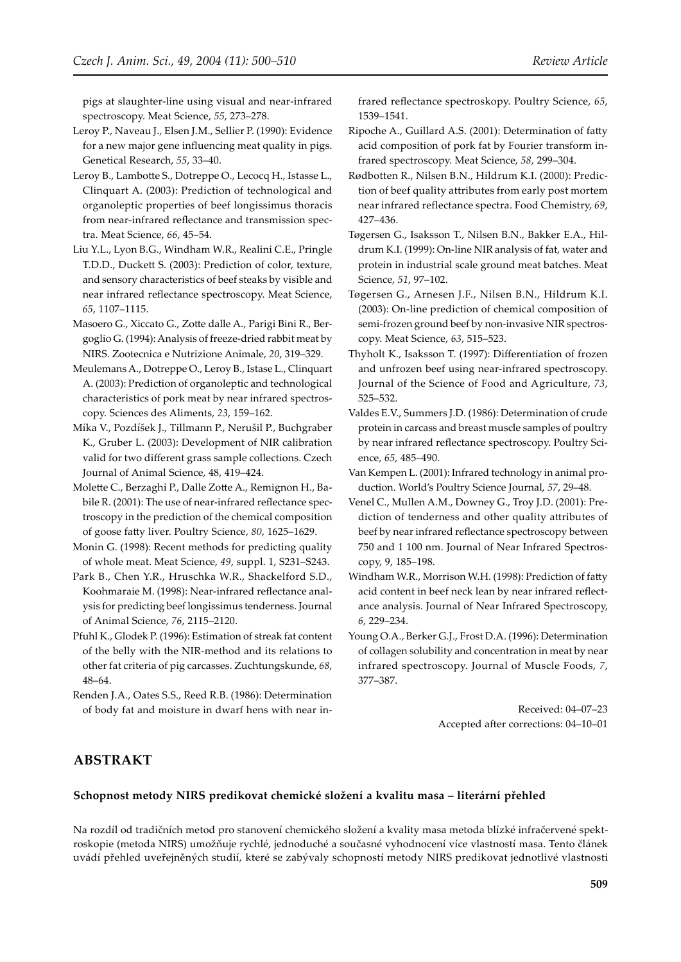pigs at slaughter-line using visual and near-infrared spectroscopy. Meat Science, *55*, 273–278.

- Leroy P., Naveau J., Elsen J.M., Sellier P. (1990): Evidence for a new major gene influencing meat quality in pigs. Genetical Research, *55*, 33–40.
- Leroy B., Lambotte S., Dotreppe O., Lecocq H., Istasse L., Clinquart A. (2003): Prediction of technological and organoleptic properties of beef longissimus thoracis from near-infrared reflectance and transmission spectra. Meat Science, *66*, 45–54.
- Liu Y.L., Lyon B.G., Windham W.R., Realini C.E., Pringle T.D.D., Duckett S. (2003): Prediction of color, texture, and sensory characteristics of beef steaks by visible and near infrared reflectance spectroscopy. Meat Science, *65*, 1107–1115.
- Masoero G., Xiccato G., Zotte dalle A., Parigi Bini R., Bergoglio G. (1994): Analysis of freeze-dried rabbit meat by NIRS. Zootecnica e Nutrizione Animale, *20*, 319–329.
- Meulemans A., Dotreppe O., Leroy B., Istase L., Clinquart A. (2003): Prediction of organoleptic and technological characteristics of pork meat by near infrared spectroscopy. Sciences des Aliments, *23*, 159–162.
- Míka V., Pozdíšek J., Tillmann P., Nerušil P., Buchgraber K., Gruber L. (2003): Development of NIR calibration valid for two different grass sample collections. Czech Journal of Animal Science, 48, 419–424.
- Molette C., Berzaghi P., Dalle Zotte A., Remignon H., Babile R. (2001): The use of near-infrared reflectance spectroscopy in the prediction of the chemical composition of goose fa�y liver. Poultry Science, *80*, 1625–1629.
- Monin G. (1998): Recent methods for predicting quality of whole meat. Meat Science, *49*, suppl. 1, S231–S243.
- Park B., Chen Y.R., Hruschka W.R., Shackelford S.D., Koohmaraie M. (1998): Near-infrared reflectance analysis for predicting beef longissimus tenderness. Journal of Animal Science, *76*, 2115–2120.
- Pfuhl K., Glodek P. (1996): Estimation of streak fat content of the belly with the NIR-method and its relations to other fat criteria of pig carcasses. Zuchtungskunde, *68*, 48–64.
- Renden J.A., Oates S.S., Reed R.B. (1986): Determination of body fat and moisture in dwarf hens with near in-

frared reflectance spectroskopy. Poultry Science, *65*, 1539–1541.

- Ripoche A., Guillard A.S. (2001): Determination of fatty acid composition of pork fat by Fourier transform infrared spectroscopy. Meat Science, *58*, 299–304.
- Rødbotten R., Nilsen B.N., Hildrum K.I. (2000): Prediction of beef quality attributes from early post mortem near infrared reflectance spectra. Food Chemistry, *69*, 427–436.
- Tøgersen G., Isaksson T., Nilsen B.N., Bakker E.A., Hildrum K.I. (1999): On-line NIR analysis of fat, water and protein in industrial scale ground meat batches. Meat Science, *51*, 97–102.
- Tøgersen G., Arnesen J.F., Nilsen B.N., Hildrum K.I. (2003): On-line prediction of chemical composition of semi-frozen ground beef by non-invasive NIR spectroscopy. Meat Science, *63*, 515–523.
- Thyholt K., Isaksson T. (1997): Differentiation of frozen and unfrozen beef using near-infrared spectroscopy. Journal of the Science of Food and Agriculture, *73*, 525–532.
- Valdes E.V., Summers J.D. (1986): Determination of crude protein in carcass and breast muscle samples of poultry by near infrared reflectance spectroscopy. Poultry Science, *65*, 485–490.
- Van Kempen L. (2001): Infrared technology in animal production. World's Poultry Science Journal, *57*, 29–48.
- Venel C., Mullen A.M., Downey G., Troy J.D. (2001): Prediction of tenderness and other quality attributes of beef by near infrared reflectance spectroscopy between 750 and 1 100 nm. Journal of Near Infrared Spectroscopy, 9, 185–198.
- Windham W.R., Morrison W.H. (1998): Prediction of fatty acid content in beef neck lean by near infrared reflectance analysis. Journal of Near Infrared Spectroscopy, *6*, 229–234.
- Young O.A., Berker G.J., Frost D.A. (1996): Determination of collagen solubility and concentration in meat by near infrared spectroscopy. Journal of Muscle Foods, *7*, 377–387.

Received: 04–07–23 Accepted after corrections: 04-10-01

# **ABSTRAKT**

#### **Schopnost metody NIRS predikovat chemické složení a kvalitu masa – literární přehled**

Na rozdíl od tradičních metod pro stanovení chemického složení a kvality masa metoda blízké infračervené spektroskopie (metoda NIRS) umožňuje rychlé, jednoduché a současné vyhodnocení více vlastností masa. Tento článek uvádí přehled uveřejněných studií, které se zabývaly schopností metody NIRS predikovat jednotlivé vlastnosti